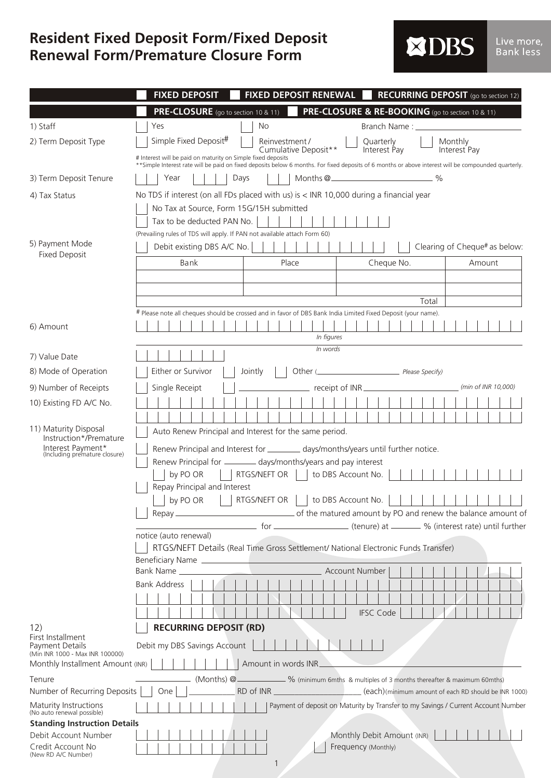## **Renewal Form/Premature Closure Form Resident Fixed Deposit Form/Fixed Deposit**

| <b>EXIDES.</b><br>Live more<br>Bank less |  |
|------------------------------------------|--|
|------------------------------------------|--|

|                                                                                                       | <b>FIXED DEPOSIT RENEWAL</b><br><b>RECURRING DEPOSIT</b> (go to section 12)<br><b>FIXED DEPOSIT</b>                                                                                                                         |  |  |  |  |  |  |
|-------------------------------------------------------------------------------------------------------|-----------------------------------------------------------------------------------------------------------------------------------------------------------------------------------------------------------------------------|--|--|--|--|--|--|
|                                                                                                       | <b>PRE-CLOSURE &amp; RE-BOOKING</b> (go to section 10 & 11)<br><b>PRE-CLOSURE</b> (go to section 10 & 11)                                                                                                                   |  |  |  |  |  |  |
| 1) Staff                                                                                              | No<br>Yes<br>Branch Name: _______                                                                                                                                                                                           |  |  |  |  |  |  |
| 2) Term Deposit Type                                                                                  | Simple Fixed Deposit#<br>Reinvestment /<br>Monthly<br>Quarterly                                                                                                                                                             |  |  |  |  |  |  |
|                                                                                                       | Cumulative Deposit**<br>Interest Pay<br>Interest Pay<br># Interest will be paid on maturity on Simple fixed deposits                                                                                                        |  |  |  |  |  |  |
| 3) Term Deposit Tenure                                                                                | **Simple Interest rate will be paid on fixed deposits below 6 months. For fixed deposits of 6 months or above interest will be compounded quarterly.<br>Months @ <sub>_____________________________</sub> %<br>Days<br>Year |  |  |  |  |  |  |
|                                                                                                       | No TDS if interest (on all FDs placed with us) is < INR 10,000 during a financial year                                                                                                                                      |  |  |  |  |  |  |
| 4) Tax Status                                                                                         | No Tax at Source, Form 15G/15H submitted                                                                                                                                                                                    |  |  |  |  |  |  |
|                                                                                                       | Tax to be deducted PAN No.                                                                                                                                                                                                  |  |  |  |  |  |  |
|                                                                                                       | (Prevailing rules of TDS will apply. If PAN not available attach Form 60)                                                                                                                                                   |  |  |  |  |  |  |
| 5) Payment Mode<br><b>Fixed Deposit</b>                                                               | Debit existing DBS A/C No.<br>Clearing of Cheque# as below:                                                                                                                                                                 |  |  |  |  |  |  |
|                                                                                                       | Bank<br>Place<br>Cheque No.<br>Amount                                                                                                                                                                                       |  |  |  |  |  |  |
|                                                                                                       |                                                                                                                                                                                                                             |  |  |  |  |  |  |
|                                                                                                       | Total                                                                                                                                                                                                                       |  |  |  |  |  |  |
|                                                                                                       | # Please note all cheques should be crossed and in favor of DBS Bank India Limited Fixed Deposit (your name).                                                                                                               |  |  |  |  |  |  |
| 6) Amount                                                                                             |                                                                                                                                                                                                                             |  |  |  |  |  |  |
|                                                                                                       | In figures<br>In words                                                                                                                                                                                                      |  |  |  |  |  |  |
| 7) Value Date                                                                                         |                                                                                                                                                                                                                             |  |  |  |  |  |  |
| 8) Mode of Operation                                                                                  | Either or Survivor<br>Jointly                                                                                                                                                                                               |  |  |  |  |  |  |
| 9) Number of Receipts                                                                                 | (min of INR 10,000)<br>Single Receipt<br>receipt of INR_                                                                                                                                                                    |  |  |  |  |  |  |
| 10) Existing FD A/C No.                                                                               |                                                                                                                                                                                                                             |  |  |  |  |  |  |
| 11) Maturity Disposal<br>Instruction*/Premature<br>Interest Payment*<br>(Including premature closure) | Auto Renew Principal and Interest for the same period.<br>Renew Principal and Interest for __________ days/months/years until further notice.                                                                               |  |  |  |  |  |  |
|                                                                                                       | Renew Principal for _______ days/months/years and pay interest                                                                                                                                                              |  |  |  |  |  |  |
|                                                                                                       | RTGS/NEFT OR  <br>to DBS Account No.<br>by PO OR                                                                                                                                                                            |  |  |  |  |  |  |
|                                                                                                       | Repay Principal and Interest                                                                                                                                                                                                |  |  |  |  |  |  |
|                                                                                                       | by PO OR     RTGS/NEFT OR     to DBS Account No.                            <br>of the matured amount by PO and renew the balance amount of<br>Repay_                                                                       |  |  |  |  |  |  |
|                                                                                                       |                                                                                                                                                                                                                             |  |  |  |  |  |  |
|                                                                                                       | notice (auto renewal)                                                                                                                                                                                                       |  |  |  |  |  |  |
|                                                                                                       | RTGS/NEFT Details (Real Time Gross Settlement/ National Electronic Funds Transfer)                                                                                                                                          |  |  |  |  |  |  |
|                                                                                                       | Beneficiary Name<br><b>Bank Name</b><br>Account Number                                                                                                                                                                      |  |  |  |  |  |  |
|                                                                                                       | <b>Bank Address</b>                                                                                                                                                                                                         |  |  |  |  |  |  |
|                                                                                                       |                                                                                                                                                                                                                             |  |  |  |  |  |  |
|                                                                                                       | <b>IFSC Code</b>                                                                                                                                                                                                            |  |  |  |  |  |  |
| 12)<br>First Installment                                                                              | <b>RECURRING DEPOSIT (RD)</b>                                                                                                                                                                                               |  |  |  |  |  |  |
| Payment Details<br>(Min INR 1000 - Max INR 100000)                                                    | Debit my DBS Savings Account                                                                                                                                                                                                |  |  |  |  |  |  |
| Monthly Installment Amount (INR)                                                                      | Amount in words INR                                                                                                                                                                                                         |  |  |  |  |  |  |
| Tenure                                                                                                | (Months) @ _______________ % (minimum 6mths & multiples of 3 months thereafter & maximum 60mths)                                                                                                                            |  |  |  |  |  |  |
| Number of Recurring Deposits                                                                          | RD of INR _______________________(each)(minimum amount of each RD should be INR 1000)<br>One                                                                                                                                |  |  |  |  |  |  |
| Maturity Instructions<br>(No auto renewal possible)                                                   | Payment of deposit on Maturity by Transfer to my Savings / Current Account Number                                                                                                                                           |  |  |  |  |  |  |
| <b>Standing Instruction Details</b>                                                                   |                                                                                                                                                                                                                             |  |  |  |  |  |  |
| Debit Account Number                                                                                  | Monthly Debit Amount (INR)                                                                                                                                                                                                  |  |  |  |  |  |  |
| Credit Account No<br>(New RD A/C Number)                                                              | Frequency (Monthly)                                                                                                                                                                                                         |  |  |  |  |  |  |